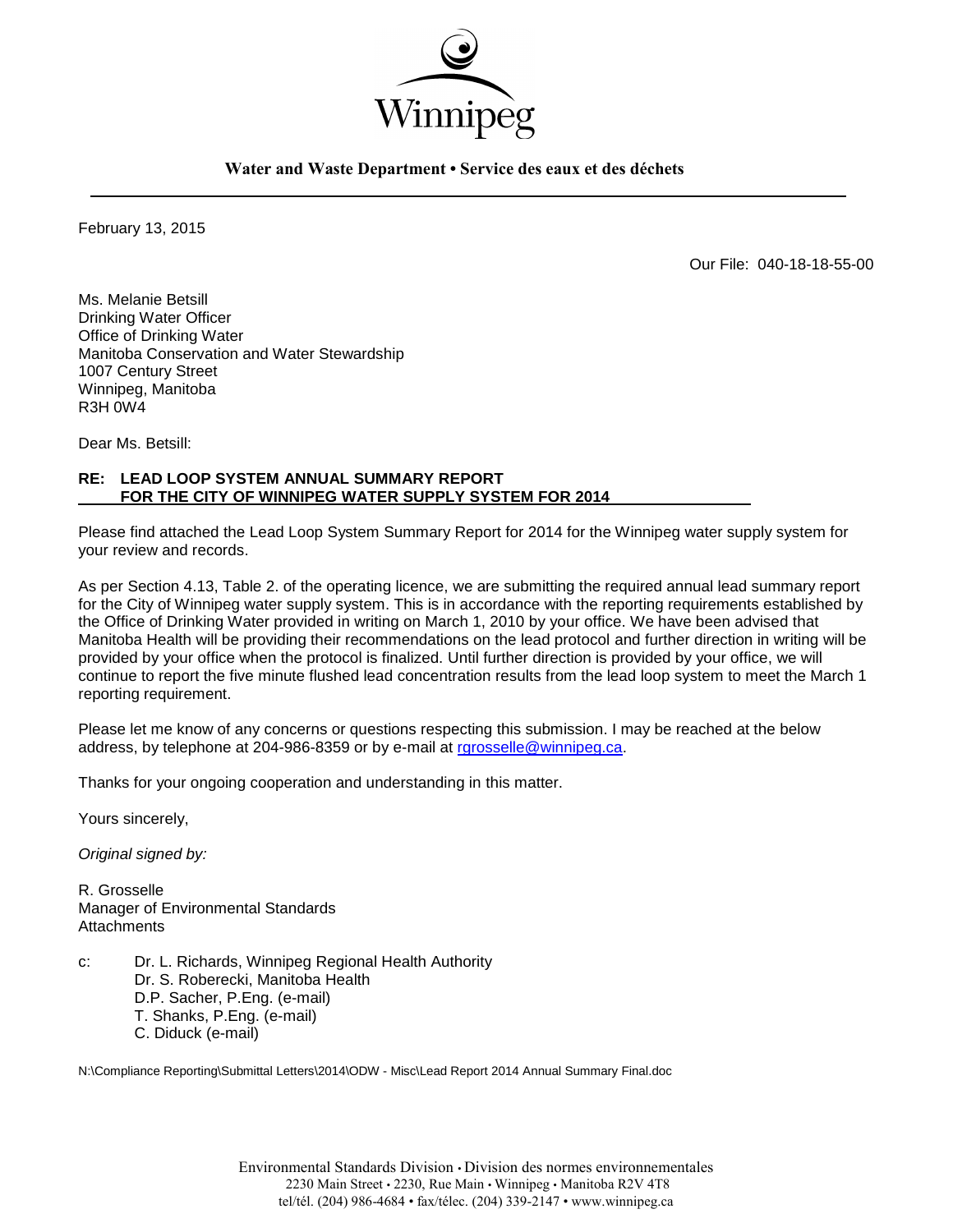

**Water and Waste Department • Service des eaux et des déchets**

February 13, 2015

Our File: 040-18-18-55-00

Ms. Melanie Betsill Drinking Water Officer Office of Drinking Water Manitoba Conservation and Water Stewardship 1007 Century Street Winnipeg, Manitoba R3H 0W4

Dear Ms. Betsill:

## **RE: LEAD LOOP SYSTEM ANNUAL SUMMARY REPORT FOR THE CITY OF WINNIPEG WATER SUPPLY SYSTEM FOR 2014**

Please find attached the Lead Loop System Summary Report for 2014 for the Winnipeg water supply system for your review and records.

As per Section 4.13, Table 2. of the operating licence, we are submitting the required annual lead summary report for the City of Winnipeg water supply system. This is in accordance with the reporting requirements established by the Office of Drinking Water provided in writing on March 1, 2010 by your office. We have been advised that Manitoba Health will be providing their recommendations on the lead protocol and further direction in writing will be provided by your office when the protocol is finalized. Until further direction is provided by your office, we will continue to report the five minute flushed lead concentration results from the lead loop system to meet the March 1 reporting requirement.

Please let me know of any concerns or questions respecting this submission. I may be reached at the below address, by telephone at 204-986-8359 or by e-mail at [rgrosselle@winnipeg.ca.](mailto:rgrosselle@winnipeg.ca)

Thanks for your ongoing cooperation and understanding in this matter.

Yours sincerely,

*Original signed by:*

R. Grosselle Manager of Environmental Standards **Attachments** 

c: Dr. L. Richards, Winnipeg Regional Health Authority Dr. S. Roberecki, Manitoba Health D.P. Sacher, P.Eng. (e-mail) T. Shanks, P.Eng. (e-mail) C. Diduck (e-mail)

N:\Compliance Reporting\Submittal Letters\2014\ODW - Misc\Lead Report 2014 Annual Summary Final.doc